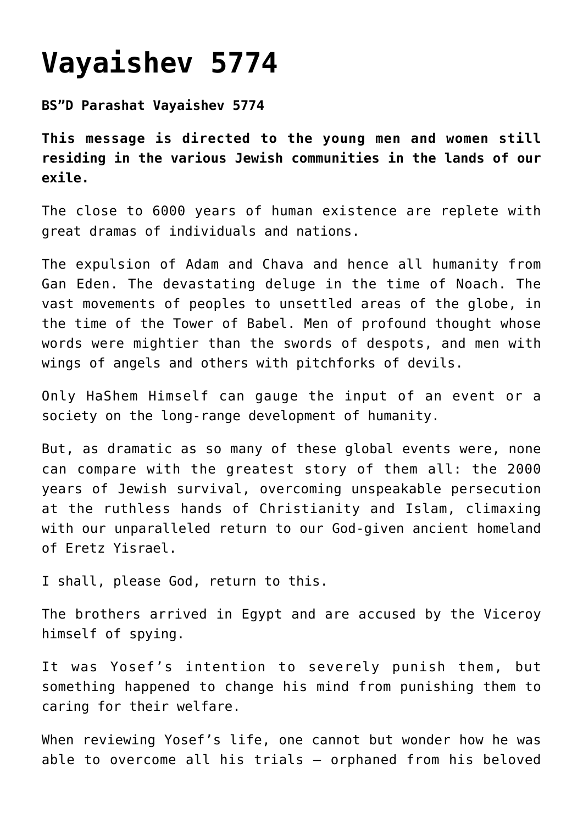## **[Vayaishev 5774](https://nachmankahana.com/vayaishev-5774/)**

**BS"D Parashat Vayaishev 5774**

**This message is directed to the young men and women still residing in the various Jewish communities in the lands of our exile.**

The close to 6000 years of human existence are replete with great dramas of individuals and nations.

The expulsion of Adam and Chava and hence all humanity from Gan Eden. The devastating deluge in the time of Noach. The vast movements of peoples to unsettled areas of the globe, in the time of the Tower of Babel. Men of profound thought whose words were mightier than the swords of despots, and men with wings of angels and others with pitchforks of devils.

Only HaShem Himself can gauge the input of an event or a society on the long-range development of humanity.

But, as dramatic as so many of these global events were, none can compare with the greatest story of them all: the 2000 years of Jewish survival, overcoming unspeakable persecution at the ruthless hands of Christianity and Islam, climaxing with our unparalleled return to our God-given ancient homeland of Eretz Yisrael.

I shall, please God, return to this.

The brothers arrived in Egypt and are accused by the Viceroy himself of spying.

It was Yosef's intention to severely punish them, but something happened to change his mind from punishing them to caring for their welfare.

When reviewing Yosef's life, one cannot but wonder how he was able to overcome all his trials – orphaned from his beloved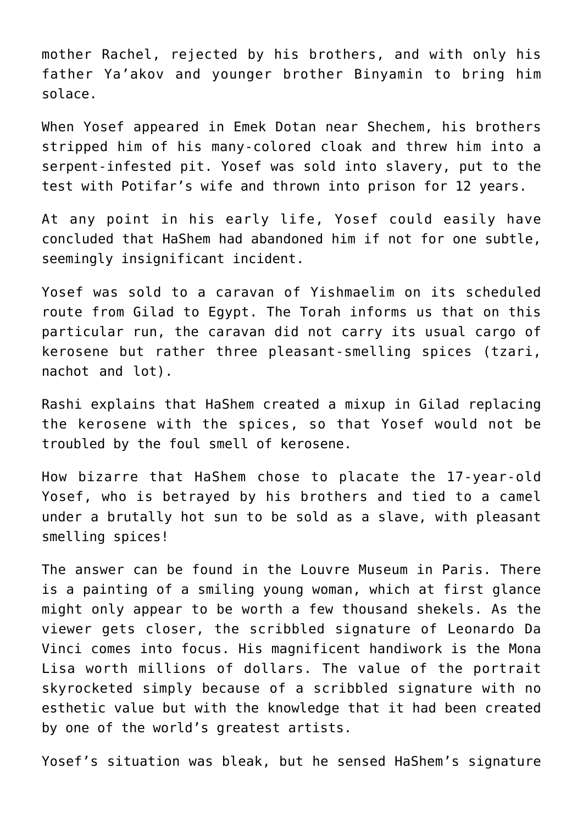mother Rachel, rejected by his brothers, and with only his father Ya'akov and younger brother Binyamin to bring him solace.

When Yosef appeared in Emek Dotan near Shechem, his brothers stripped him of his many-colored cloak and threw him into a serpent-infested pit. Yosef was sold into slavery, put to the test with Potifar's wife and thrown into prison for 12 years.

At any point in his early life, Yosef could easily have concluded that HaShem had abandoned him if not for one subtle, seemingly insignificant incident.

Yosef was sold to a caravan of Yishmaelim on its scheduled route from Gilad to Egypt. The Torah informs us that on this particular run, the caravan did not carry its usual cargo of kerosene but rather three pleasant-smelling spices (tzari, nachot and lot).

Rashi explains that HaShem created a mixup in Gilad replacing the kerosene with the spices, so that Yosef would not be troubled by the foul smell of kerosene.

How bizarre that HaShem chose to placate the 17-year-old Yosef, who is betrayed by his brothers and tied to a camel under a brutally hot sun to be sold as a slave, with pleasant smelling spices!

The answer can be found in the Louvre Museum in Paris. There is a painting of a smiling young woman, which at first glance might only appear to be worth a few thousand shekels. As the viewer gets closer, the scribbled signature of Leonardo Da Vinci comes into focus. His magnificent handiwork is the Mona Lisa worth millions of dollars. The value of the portrait skyrocketed simply because of a scribbled signature with no esthetic value but with the knowledge that it had been created by one of the world's greatest artists.

Yosef's situation was bleak, but he sensed HaShem's signature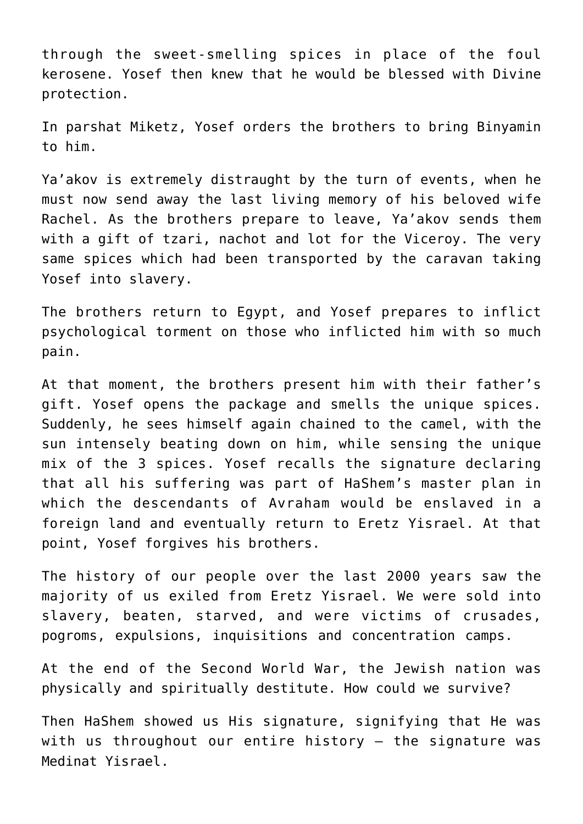through the sweet-smelling spices in place of the foul kerosene. Yosef then knew that he would be blessed with Divine protection.

In parshat Miketz, Yosef orders the brothers to bring Binyamin to him.

Ya'akov is extremely distraught by the turn of events, when he must now send away the last living memory of his beloved wife Rachel. As the brothers prepare to leave, Ya'akov sends them with a gift of tzari, nachot and lot for the Viceroy. The very same spices which had been transported by the caravan taking Yosef into slavery.

The brothers return to Egypt, and Yosef prepares to inflict psychological torment on those who inflicted him with so much pain.

At that moment, the brothers present him with their father's gift. Yosef opens the package and smells the unique spices. Suddenly, he sees himself again chained to the camel, with the sun intensely beating down on him, while sensing the unique mix of the 3 spices. Yosef recalls the signature declaring that all his suffering was part of HaShem's master plan in which the descendants of Avraham would be enslaved in a foreign land and eventually return to Eretz Yisrael. At that point, Yosef forgives his brothers.

The history of our people over the last 2000 years saw the majority of us exiled from Eretz Yisrael. We were sold into slavery, beaten, starved, and were victims of crusades, pogroms, expulsions, inquisitions and concentration camps.

At the end of the Second World War, the Jewish nation was physically and spiritually destitute. How could we survive?

Then HaShem showed us His signature, signifying that He was with us throughout our entire history – the signature was Medinat Yisrael.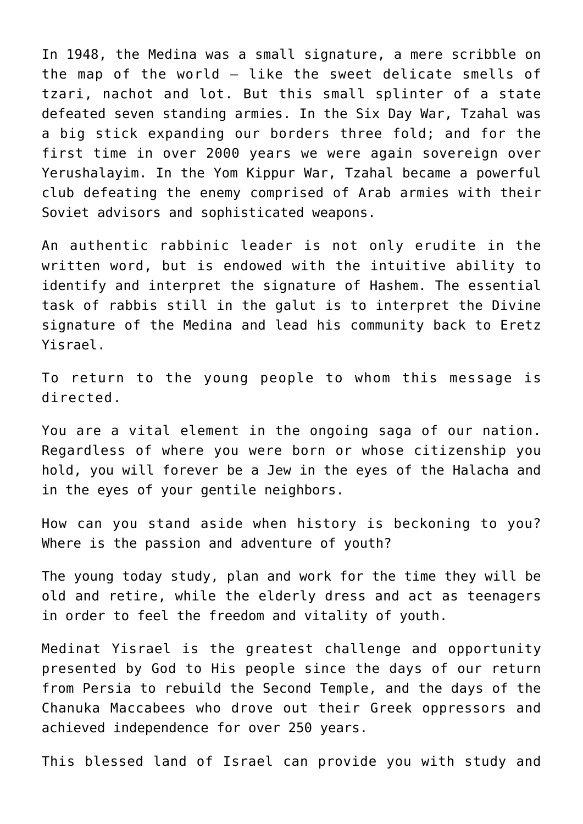In 1948, the Medina was a small signature, a mere scribble on the map of the world – like the sweet delicate smells of tzari, nachot and lot. But this small splinter of a state defeated seven standing armies. In the Six Day War, Tzahal was a big stick expanding our borders three fold; and for the first time in over 2000 years we were again sovereign over Yerushalayim. In the Yom Kippur War, Tzahal became a powerful club defeating the enemy comprised of Arab armies with their Soviet advisors and sophisticated weapons.

An authentic rabbinic leader is not only erudite in the written word, but is endowed with the intuitive ability to identify and interpret the signature of Hashem. The essential task of rabbis still in the galut is to interpret the Divine signature of the Medina and lead his community back to Eretz Yisrael.

To return to the young people to whom this message is directed.

You are a vital element in the ongoing saga of our nation. Regardless of where you were born or whose citizenship you hold, you will forever be a Jew in the eyes of the Halacha and in the eyes of your gentile neighbors.

How can you stand aside when history is beckoning to you? Where is the passion and adventure of youth?

The young today study, plan and work for the time they will be old and retire, while the elderly dress and act as teenagers in order to feel the freedom and vitality of youth.

Medinat Yisrael is the greatest challenge and opportunity presented by God to His people since the days of our return from Persia to rebuild the Second Temple, and the days of the Chanuka Maccabees who drove out their Greek oppressors and achieved independence for over 250 years.

This blessed land of Israel can provide you with study and